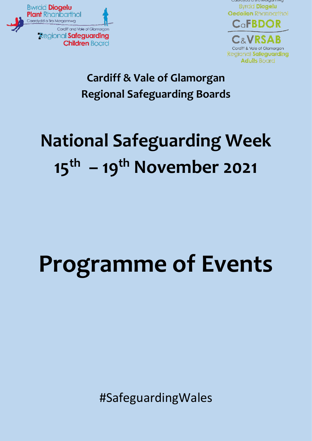



#### **Cardiff & Vale of Glamorgan Regional Safeguarding Boards**

## **National Safeguarding Week 15th – 19th November 2021**

# **Programme of Events**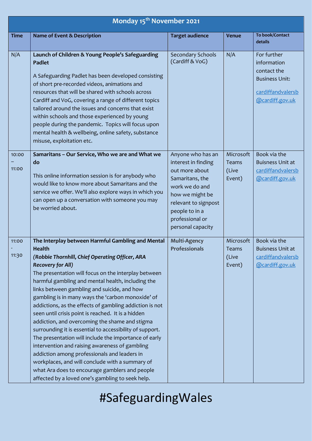|                | Monday 15 <sup>th</sup> November 2021                                                                                                                                                                                                                                                                                                                                                                                                                                                                                                                                                                                                                                                                                                                                                                                                                                                                                 |                                                                                                                                                                                                      |                                              |                                                                                                            |  |
|----------------|-----------------------------------------------------------------------------------------------------------------------------------------------------------------------------------------------------------------------------------------------------------------------------------------------------------------------------------------------------------------------------------------------------------------------------------------------------------------------------------------------------------------------------------------------------------------------------------------------------------------------------------------------------------------------------------------------------------------------------------------------------------------------------------------------------------------------------------------------------------------------------------------------------------------------|------------------------------------------------------------------------------------------------------------------------------------------------------------------------------------------------------|----------------------------------------------|------------------------------------------------------------------------------------------------------------|--|
| <b>Time</b>    | Name of Event & Description                                                                                                                                                                                                                                                                                                                                                                                                                                                                                                                                                                                                                                                                                                                                                                                                                                                                                           | <b>Target audience</b>                                                                                                                                                                               | <b>Venue</b>                                 | To book/Contact<br>details                                                                                 |  |
| N/A            | Launch of Children & Young People's Safeguarding<br><b>Padlet</b><br>A Safeguarding Padlet has been developed consisting<br>of short pre-recorded videos, animations and<br>resources that will be shared with schools across<br>Cardiff and VoG, covering a range of different topics<br>tailored around the issues and concerns that exist<br>within schools and those experienced by young<br>people during the pandemic. Topics will focus upon<br>mental health & wellbeing, online safety, substance<br>misuse, exploitation etc.                                                                                                                                                                                                                                                                                                                                                                               | <b>Secondary Schools</b><br>(Cardiff & VoG)                                                                                                                                                          | N/A                                          | For further<br>information<br>contact the<br><b>Business Unit:</b><br>cardiffandvalersb<br>@cardiff.gov.uk |  |
| 10:00<br>11:00 | Samaritans - Our Service, Who we are and What we<br>do<br>This online information session is for anybody who<br>would like to know more about Samaritans and the<br>service we offer. We'll also explore ways in which you<br>can open up a conversation with someone you may<br>be worried about.                                                                                                                                                                                                                                                                                                                                                                                                                                                                                                                                                                                                                    | Anyone who has an<br>interest in finding<br>out more about<br>Samaritans, the<br>work we do and<br>how we might be<br>relevant to signpost<br>people to in a<br>professional or<br>personal capacity | Microsoft<br>Teams<br>(Live<br>Event)        | Book via the<br><b>Buisness Unit at</b><br>cardiffandvalersb<br>@cardiff.gov.uk                            |  |
| 11:00<br>11:30 | The Interplay between Harmful Gambling and Mental<br><b>Health</b><br>(Robbie Thornhill, Chief Operating Officer, ARA<br><b>Recovery for All)</b><br>The presentation will focus on the interplay between<br>harmful gambling and mental health, including the<br>links between gambling and suicide, and how<br>gambling is in many ways the 'carbon monoxide' of<br>addictions, as the effects of gambling addiction is not<br>seen until crisis point is reached. It is a hidden<br>addiction, and overcoming the shame and stigma<br>surrounding it is essential to accessibility of support.<br>The presentation will include the importance of early<br>intervention and raising awareness of gambling<br>addiction among professionals and leaders in<br>workplaces, and will conclude with a summary of<br>what Ara does to encourage gamblers and people<br>affected by a loved one's gambling to seek help. | <b>Multi-Agency</b><br><b>Professionals</b>                                                                                                                                                          | Microsoft<br><b>Teams</b><br>(Live<br>Event) | Book via the<br>Buisness Unit at<br>cardiffandvalersb<br>@cardiff.gov.uk                                   |  |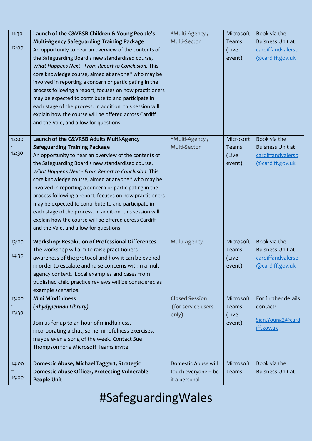| 11:30 | Launch of the C&VRSB Children & Young People's            | *Multi-Agency /       | Microsoft | Book via the            |
|-------|-----------------------------------------------------------|-----------------------|-----------|-------------------------|
|       | <b>Multi-Agency Safeguarding Training Package</b>         | Multi-Sector          | Teams     | <b>Buisness Unit at</b> |
| 12:00 | An opportunity to hear an overview of the contents of     |                       | (Live     | cardiffandvalersb       |
|       | the Safeguarding Board's new standardised course,         |                       | event)    | @cardiff.gov.uk         |
|       | What Happens Next - From Report to Conclusion. This       |                       |           |                         |
|       | core knowledge course, aimed at anyone* who may be        |                       |           |                         |
|       | involved in reporting a concern or participating in the   |                       |           |                         |
|       | process following a report, focuses on how practitioners  |                       |           |                         |
|       | may be expected to contribute to and participate in       |                       |           |                         |
|       | each stage of the process. In addition, this session will |                       |           |                         |
|       | explain how the course will be offered across Cardiff     |                       |           |                         |
|       | and the Vale, and allow for questions.                    |                       |           |                         |
|       |                                                           |                       |           |                         |
| 12:00 | Launch of the C&VRSB Adults Multi-Agency                  | *Multi-Agency /       | Microsoft | Book via the            |
|       | <b>Safeguarding Training Package</b>                      | Multi-Sector          | Teams     | <b>Buisness Unit at</b> |
| 12:30 | An opportunity to hear an overview of the contents of     |                       | (Live     | cardiffandvalersb       |
|       | the Safeguarding Board's new standardised course,         |                       | event)    | @cardiff.gov.uk         |
|       | What Happens Next - From Report to Conclusion. This       |                       |           |                         |
|       | core knowledge course, aimed at anyone* who may be        |                       |           |                         |
|       | involved in reporting a concern or participating in the   |                       |           |                         |
|       | process following a report, focuses on how practitioners  |                       |           |                         |
|       | may be expected to contribute to and participate in       |                       |           |                         |
|       | each stage of the process. In addition, this session will |                       |           |                         |
|       | explain how the course will be offered across Cardiff     |                       |           |                         |
|       | and the Vale, and allow for questions.                    |                       |           |                         |
| 13:00 | <b>Workshop: Resolution of Professional Differences</b>   | Multi-Agency          | Microsoft | Book via the            |
|       | The workshop wil aim to raise practitioners               |                       | Teams     | <b>Buisness Unit at</b> |
| 14:30 | awareness of the protocol and how it can be evoked        |                       | (Live     | cardiffandvalersb       |
|       | in order to escalate and raise concerns within a multi-   |                       | event)    | @cardiff.gov.uk         |
|       | agency context. Local examples and cases from             |                       |           |                         |
|       | published child practice reviews will be considered as    |                       |           |                         |
|       | example scenarios.                                        |                       |           |                         |
| 13:00 | <b>Mini Mindfulness</b>                                   | <b>Closed Session</b> | Microsoft | For further details     |
|       | (Rhydypennau Library)                                     | (for service users    | Teams     | contact:                |
| 13:30 |                                                           | only)                 | (Live     |                         |
|       | Join us for up to an hour of mindfulness,                 |                       | event)    | Sian. Young 2@card      |
|       | incorporating a chat, some mindfulness exercises,         |                       |           | iff.gov.uk              |
|       | maybe even a song of the week. Contact Sue                |                       |           |                         |
|       | Thompson for a Microsoft Teams invite                     |                       |           |                         |
|       |                                                           |                       |           |                         |
| 14:00 | Domestic Abuse, Michael Taggart, Strategic                | Domestic Abuse will   | Microsoft | Book via the            |
|       | <b>Domestic Abuse Officer, Protecting Vulnerable</b>      | touch everyone - be   | Teams     | <b>Buisness Unit at</b> |
| 15:00 | <b>People Unit</b>                                        | it a personal         |           |                         |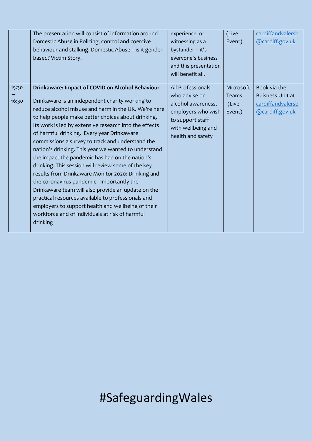|                | The presentation will consist of information around<br>Domestic Abuse in Policing, control and coercive<br>behaviour and stalking. Domestic Abuse - is it gender<br>based? Victim Story.                                                                                                                                                                                                                                                                                                                                                                                                                                                                                                                                                                                                                                                                                           | experience, or<br>witnessing as a<br>bystander - it's<br>everyone's business<br>and this presentation<br>will benefit all.                    | (Live<br>Event)                              | cardiffandvalersb<br>@cardiff.gov.uk                                            |
|----------------|------------------------------------------------------------------------------------------------------------------------------------------------------------------------------------------------------------------------------------------------------------------------------------------------------------------------------------------------------------------------------------------------------------------------------------------------------------------------------------------------------------------------------------------------------------------------------------------------------------------------------------------------------------------------------------------------------------------------------------------------------------------------------------------------------------------------------------------------------------------------------------|-----------------------------------------------------------------------------------------------------------------------------------------------|----------------------------------------------|---------------------------------------------------------------------------------|
| 15:30<br>16:30 | Drinkaware: Impact of COVID on Alcohol Behaviour<br>Drinkaware is an independent charity working to<br>reduce alcohol misuse and harm in the UK. We're here<br>to help people make better choices about drinking.<br>Its work is led by extensive research into the effects<br>of harmful drinking. Every year Drinkaware<br>commissions a survey to track and understand the<br>nation's drinking. This year we wanted to understand<br>the impact the pandemic has had on the nation's<br>drinking. This session will review some of the key<br>results from Drinkaware Monitor 2020: Drinking and<br>the coronavirus pandemic. Importantly the<br>Drinkaware team will also provide an update on the<br>practical resources available to professionals and<br>employers to support health and wellbeing of their<br>workforce and of individuals at risk of harmful<br>drinking | All Professionals<br>who advise on<br>alcohol awareness,<br>employers who wish<br>to support staff<br>with wellbeing and<br>health and safety | Microsoft<br><b>Teams</b><br>(Live<br>Event) | Book via the<br><b>Buisness Unit at</b><br>cardiffandvalersb<br>@cardiff.gov.uk |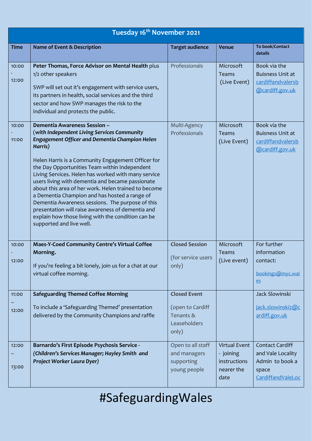| Tuesday 16 <sup>th</sup> November 2021 |                                                                                                                                                                                                                                                                                                                                                                                                                                                                                                                                                                                                                                                                |                                                                 |                                                                         |                                                                                              |
|----------------------------------------|----------------------------------------------------------------------------------------------------------------------------------------------------------------------------------------------------------------------------------------------------------------------------------------------------------------------------------------------------------------------------------------------------------------------------------------------------------------------------------------------------------------------------------------------------------------------------------------------------------------------------------------------------------------|-----------------------------------------------------------------|-------------------------------------------------------------------------|----------------------------------------------------------------------------------------------|
| <b>Time</b>                            | Name of Event & Description                                                                                                                                                                                                                                                                                                                                                                                                                                                                                                                                                                                                                                    | <b>Target audience</b>                                          | <b>Venue</b>                                                            | To book/Contact<br>details                                                                   |
| 10:00<br>12:00                         | Peter Thomas, Force Advisor on Mental Health plus<br>1/2 other speakers<br>SWP will set out it's engagement with service users,<br>its partners in health, social services and the third<br>sector and how SWP manages the risk to the<br>individual and protects the public.                                                                                                                                                                                                                                                                                                                                                                                  | Professionals                                                   | Microsoft<br>Teams<br>(Live Event)                                      | Book via the<br><b>Buisness Unit at</b><br>cardiffandvalersb<br>@cardiff.gov.uk              |
| 10:00<br>11:00                         | Dementia Awareness Session -<br>(with Independent Living Services Community<br>Engagement Officer and Dementia Champion Helen<br>Harris)<br>Helen Harris is a Community Engagement Officer for<br>the Day Opportunities Team within Independent<br>Living Services. Helen has worked with many service<br>users living with dementia and became passionate<br>about this area of her work. Helen trained to become<br>a Dementia Champion and has hosted a range of<br>Dementia Awareness sessions. The purpose of this<br>presentation will raise awareness of dementia and<br>explain how those living with the condition can be<br>supported and live well. | Multi-Agency<br>Professionals                                   | Microsoft<br>Teams<br>(Live Event)                                      | Book via the<br><b>Buisness Unit at</b><br>cardiffandvalersb<br>@cardiff.gov.uk              |
| 10:00<br>12:00                         | Maes-Y-Coed Community Centre's Virtual Coffee<br>Morning.<br>If you're feeling a bit lonely, join us for a chat at our<br>virtual coffee morning.                                                                                                                                                                                                                                                                                                                                                                                                                                                                                                              | <b>Closed Session</b><br>(for service users<br>only)            | Microsoft<br><b>Teams</b><br>(Live event)                               | For further<br>information<br>contact:<br>bookings@myc.wal<br>es                             |
| 11:00                                  | <b>Safeguarding Themed Coffee Morning</b>                                                                                                                                                                                                                                                                                                                                                                                                                                                                                                                                                                                                                      | <b>Closed Event</b>                                             |                                                                         | Jack Slowinski                                                                               |
| 12:00                                  | To include a 'Safeguarding Themed' presentation<br>delivered by the Community Champions and raffle                                                                                                                                                                                                                                                                                                                                                                                                                                                                                                                                                             | (open to Cardiff<br>Tenants &<br>Leaseholders<br>only)          |                                                                         | jack.slowinski2@c<br>ardiff.gov.uk                                                           |
| 12:00<br>13:00                         | Barnardo's First Episode Psychosis Service -<br>(Children's Services Manager; Hayley Smith and<br>Project Worker Laura Dyer)                                                                                                                                                                                                                                                                                                                                                                                                                                                                                                                                   | Open to all staff<br>and managers<br>supporting<br>young people | <b>Virtual Event</b><br>- joining<br>instructions<br>nearer the<br>date | <b>Contact Cardiff</b><br>and Vale Locality<br>Admin to book a<br>space<br>CardiffandValeLoc |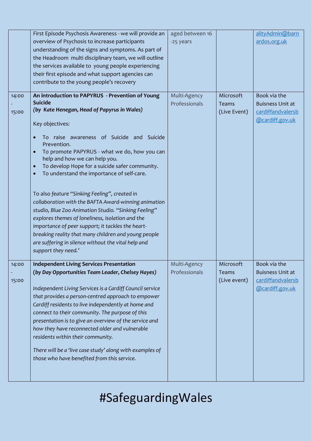|                | First Episode Psychosis Awareness - we will provide an<br>overview of Psychosis to increase participants<br>understanding of the signs and symptoms. As part of<br>the Headroom multi disciplinary team, we will outline<br>the services available to young people experiencing<br>their first episode and what support agencies can<br>contribute to the young people's recovery                                                                                                                                                                                                                                                                                                                                                                                                                              | aged between 16<br>-25 years  |                                           | alityAdmin@barn<br>ardos.org.uk                                                 |
|----------------|----------------------------------------------------------------------------------------------------------------------------------------------------------------------------------------------------------------------------------------------------------------------------------------------------------------------------------------------------------------------------------------------------------------------------------------------------------------------------------------------------------------------------------------------------------------------------------------------------------------------------------------------------------------------------------------------------------------------------------------------------------------------------------------------------------------|-------------------------------|-------------------------------------------|---------------------------------------------------------------------------------|
| 14:00<br>15:00 | An introduction to PAPYRUS - Prevention of Young<br><b>Suicide</b><br>(by Kate Henegan, Head of Papyrus in Wales)<br>Key objectives:<br>To raise awareness of Suicide and Suicide<br>Prevention.<br>To promote PAPYRUS - what we do, how you can<br>$\bullet$<br>help and how we can help you.<br>To develop Hope for a suicide safer community.<br>To understand the importance of self-care.<br>To also feature "Sinking Feeling", created in<br>collaboration with the BAFTA Award-winning animation<br>studio, Blue Zoo Animation Studio. "Sinking Feeling"<br>explores themes of loneliness, isolation and the<br>importance of peer support; it tackles the heart-<br>breaking reality that many children and young people<br>are suffering in silence without the vital help and<br>support they need.' | Multi-Agency<br>Professionals | Microsoft<br><b>Teams</b><br>(Live Event) | Book via the<br><b>Buisness Unit at</b><br>cardiffandvalersb<br>@cardiff.gov.uk |
| 14:00<br>15:00 | <b>Independent Living Services Presentation</b><br>(by Day Opportunities Team Leader, Chelsey Hayes)<br>Independent Living Services is a Cardiff Council service<br>that provides a person-centred approach to empower<br>Cardiff residents to live independently at home and<br>connect to their community. The purpose of this<br>presentation is to give an overview of the service and<br>how they have reconnected older and vulnerable<br>residents within their community.<br>There will be a 'live case study' along with examples of<br>those who have benefited from this service.                                                                                                                                                                                                                   | Multi-Agency<br>Professionals | Microsoft<br><b>Teams</b><br>(Live event) | Book via the<br><b>Buisness Unit at</b><br>cardiffandvalersb<br>@cardiff.gov.uk |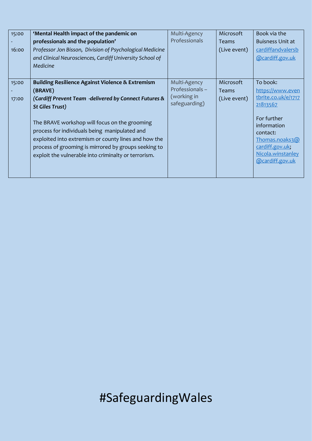| 15:00<br>16:00 | 'Mental Health impact of the pandemic on<br>professionals and the population'<br>Professor Jon Bisson, Division of Psychological Medicine<br>and Clinical Neurosciences, Cardiff University School of<br>Medicine                                                                                                                                                                                                                   | Multi-Agency<br>Professionals                                  | Microsoft<br><b>Teams</b><br>(Live event) | Book via the<br><b>Buisness Unit at</b><br>cardiffandvalersb<br>@cardiff.gov.uk                                                                                                        |
|----------------|-------------------------------------------------------------------------------------------------------------------------------------------------------------------------------------------------------------------------------------------------------------------------------------------------------------------------------------------------------------------------------------------------------------------------------------|----------------------------------------------------------------|-------------------------------------------|----------------------------------------------------------------------------------------------------------------------------------------------------------------------------------------|
| 15:00<br>17:00 | <b>Building Resilience Against Violence &amp; Extremism</b><br>(BRAVE)<br>(Cardiff Prevent Team -delivered by Connect Futures &<br><b>St Giles Trust)</b><br>The BRAVE workshop will focus on the grooming<br>process for individuals being manipulated and<br>exploited into extremism or county lines and how the<br>process of grooming is mirrored by groups seeking to<br>exploit the vulnerable into criminalty or terrorism. | Multi-Agency<br>Professionals-<br>(working in<br>safeguarding) | Microsoft<br><b>Teams</b><br>(Live event) | To book:<br>https://www.even<br>tbrite.co.uk/e/1717<br>21813567<br>For further<br>information<br>contact:<br>Thomas.noaks3@<br>cardiff.gov.uk;<br>Nicola.winstanley<br>@cardiff.gov.uk |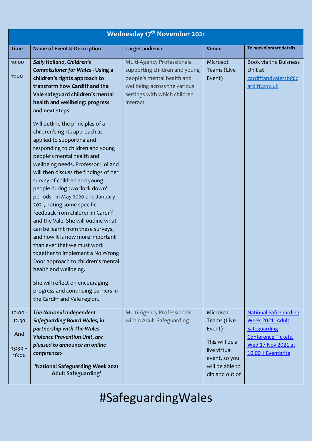|                                                 | <b>Wednesday 17th November 2021</b>                                                                                                                                                                                                                                                                                                                                                                                                                                                                                                                                                                                                                                                                                                                                                                                                                                                                                                                                                                                    |                                                                                                                                                                       |                                                                                                                           |                                                                                                                                            |  |
|-------------------------------------------------|------------------------------------------------------------------------------------------------------------------------------------------------------------------------------------------------------------------------------------------------------------------------------------------------------------------------------------------------------------------------------------------------------------------------------------------------------------------------------------------------------------------------------------------------------------------------------------------------------------------------------------------------------------------------------------------------------------------------------------------------------------------------------------------------------------------------------------------------------------------------------------------------------------------------------------------------------------------------------------------------------------------------|-----------------------------------------------------------------------------------------------------------------------------------------------------------------------|---------------------------------------------------------------------------------------------------------------------------|--------------------------------------------------------------------------------------------------------------------------------------------|--|
| <b>Time</b>                                     | <b>Name of Event &amp; Description</b>                                                                                                                                                                                                                                                                                                                                                                                                                                                                                                                                                                                                                                                                                                                                                                                                                                                                                                                                                                                 | <b>Target audience</b>                                                                                                                                                | <b>Venue</b>                                                                                                              | To book/Contact details                                                                                                                    |  |
| 10:00<br>11:00                                  | Sally Holland, Children's<br><b>Commissioner for Wales - Using a</b><br>children's rights approach to<br>transform how Cardiff and the<br>Vale safeguard children's mental<br>health and wellbeing: progress<br>and next steps<br>Will outline the principles of a<br>children's rights approach as<br>applied to supporting and<br>responding to children and young<br>people's mental health and<br>wellbeing needs. Professor Holland<br>will then discuss the findings of her<br>survey of children and young<br>people during two 'lock down'<br>periods - in May 2020 and January<br>2021, noting some specific<br>feedback from children in Cardiff<br>and the Vale. She will outline what<br>can be learnt from these surveys,<br>and how it is now more important<br>than ever that we must work<br>together to implement a No Wrong<br>Door approach to children's mental<br>health and wellbeing.<br>She will reflect on encouraging<br>progress and continuing barriers in<br>the Cardiff and Vale region. | Multi-Agency Professionals<br>supporting children and young<br>people's mental health and<br>wellbeing across the various<br>settings with which children<br>interact | Microsot<br>Teams (Live<br>Event)                                                                                         | Book via the Buisness<br>Unit at<br>cardiffandvalersb@c<br>ardiff.gov.uk                                                                   |  |
| $10:00 -$<br>12:30<br>And<br>$13:30 -$<br>16:00 | The National Independent<br>Safeguarding Board Wales, in<br>partnership with The Wales<br>Violence Prevention Unit, are<br>pleased to announce an online<br>conference;-<br>'National Safeguarding Week 2021<br><b>Adult Safeguarding'</b>                                                                                                                                                                                                                                                                                                                                                                                                                                                                                                                                                                                                                                                                                                                                                                             | Multi-Agency Professionals<br>within Adult Safeguarding                                                                                                               | Microsot<br>Teams (Live<br>Event)<br>This will be a<br>live virtual<br>event, so you<br>will be able to<br>dip and out of | <b>National Safeguarding</b><br>Week 2021: Adult<br>Safeguarding<br>Conference Tickets,<br><b>Wed 17 Nov 2021 at</b><br>10:00   Eventbrite |  |
|                                                 |                                                                                                                                                                                                                                                                                                                                                                                                                                                                                                                                                                                                                                                                                                                                                                                                                                                                                                                                                                                                                        |                                                                                                                                                                       |                                                                                                                           |                                                                                                                                            |  |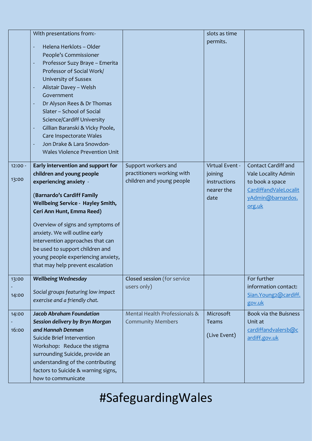|                    | With presentations from:-<br>Helena Herklots - Older<br>People's Commissioner<br>Professor Suzy Braye - Emerita<br>Professor of Social Work/<br>University of Sussex<br>Alistair Davey - Welsh<br>Government<br>Dr Alyson Rees & Dr Thomas<br>Slater - School of Social<br>Science/Cardiff University<br>Gillian Baranski & Vicky Poole,<br>Care Inspectorate Wales<br>Jon Drake & Lara Snowdon-<br><b>Wales Violence Prevention Unit</b> |                                                                                | slots as time<br>permits.                                        |                                                                                                                              |
|--------------------|-------------------------------------------------------------------------------------------------------------------------------------------------------------------------------------------------------------------------------------------------------------------------------------------------------------------------------------------------------------------------------------------------------------------------------------------|--------------------------------------------------------------------------------|------------------------------------------------------------------|------------------------------------------------------------------------------------------------------------------------------|
| $12:00 -$<br>13:00 | Early intervention and support for<br>children and young people<br>experiencing anxiety -<br>(Barnardo's Cardiff Family<br><b>Wellbeing Service - Hayley Smith,</b><br>Ceri Ann Hunt, Emma Reed)<br>Overview of signs and symptoms of<br>anxiety. We will outline early<br>intervention approaches that can<br>be used to support children and<br>young people experiencing anxiety,<br>that may help prevent escalation                  | Support workers and<br>practitioners working with<br>children and young people | Virtual Event -<br>joining<br>instructions<br>nearer the<br>date | <b>Contact Cardiff and</b><br>Vale Locality Admin<br>to book a space<br>CardiffandValeLocalit<br>yAdmin@barnardos.<br>org.uk |
| 13:00<br>14:00     | <b>Wellbeing Wednesday</b><br>Social groups featuring low impact<br>exercise and a friendly chat.                                                                                                                                                                                                                                                                                                                                         | <b>Closed session</b> (for service<br>users only)                              |                                                                  | For further<br>information contact:<br>Sian.Young2@cardiff.<br>gov.uk                                                        |
| 14:00<br>16:00     | <b>Jacob Abraham Foundation</b><br>Session delivery by Bryn Morgan<br>and Hannah Denman<br>Suicide Brief Intervention<br>Workshop: Reduce the stigma<br>surrounding Suicide, provide an<br>understanding of the contributing<br>factors to Suicide & warning signs,<br>how to communicate                                                                                                                                                 | Mental Health Professionals &<br><b>Community Members</b>                      | Microsoft<br>Teams<br>(Live Event)                               | Book via the Buisness<br>Unit at<br>cardiffandvalersb@c<br>ardiff.gov.uk                                                     |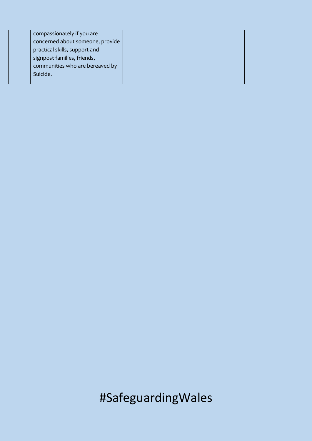| compassionately if you are       |  |  |
|----------------------------------|--|--|
| concerned about someone, provide |  |  |
| practical skills, support and    |  |  |
| signpost families, friends,      |  |  |
| communities who are bereaved by  |  |  |
| Suicide.                         |  |  |
|                                  |  |  |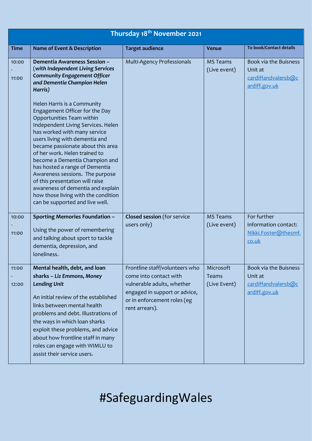|                |                                                                                                                                                                                                                                                                                                                                                                                                                                                                                                                                                                                                                                                                                                | Thursday 18 <sup>th</sup> November 2021                                                                                                                                  |                                           |                                                                          |
|----------------|------------------------------------------------------------------------------------------------------------------------------------------------------------------------------------------------------------------------------------------------------------------------------------------------------------------------------------------------------------------------------------------------------------------------------------------------------------------------------------------------------------------------------------------------------------------------------------------------------------------------------------------------------------------------------------------------|--------------------------------------------------------------------------------------------------------------------------------------------------------------------------|-------------------------------------------|--------------------------------------------------------------------------|
| <b>Time</b>    | Name of Event & Description                                                                                                                                                                                                                                                                                                                                                                                                                                                                                                                                                                                                                                                                    | <b>Target audience</b>                                                                                                                                                   | <b>Venue</b>                              | To book/Contact details                                                  |
| 10:00<br>11:00 | <b>Dementia Awareness Session -</b><br>(with Independent Living Services<br><b>Community Engagement Officer</b><br>and Dementia Champion Helen<br>Harris)<br>Helen Harris is a Community<br>Engagement Officer for the Day<br>Opportunities Team within<br>Independent Living Services. Helen<br>has worked with many service<br>users living with dementia and<br>became passionate about this area<br>of her work. Helen trained to<br>become a Dementia Champion and<br>has hosted a range of Dementia<br>Awareness sessions. The purpose<br>of this presentation will raise<br>awareness of dementia and explain<br>how those living with the condition<br>can be supported and live well. | Multi-Agency Professionals                                                                                                                                               | <b>MS Teams</b><br>(Live event)           | Book via the Buisness<br>Unit at<br>cardiffandvalersb@c<br>ardiff.gov.uk |
| 10:00<br>11:00 | <b>Sporting Memories Foundation -</b><br>Using the power of remembering<br>and talking about sport to tackle<br>dementia, depression, and<br>loneliness.                                                                                                                                                                                                                                                                                                                                                                                                                                                                                                                                       | <b>Closed session</b> (for service<br>users only)                                                                                                                        | <b>MS Teams</b><br>(Live event)           | For further<br>information contact:<br>Nikki.Foster@thesmf.<br>co.uk     |
| 11:00<br>12:00 | Mental health, debt, and loan<br>sharks - Liz Emmons, Money<br><b>Lending Unit</b><br>An initial review of the established<br>links between mental health<br>problems and debt. Illustrations of<br>the ways in which loan sharks<br>exploit these problems, and advice<br>about how frontline staff in many<br>roles can engage with WIMLU to<br>assist their service users.                                                                                                                                                                                                                                                                                                                  | Frontline staff/volunteers who<br>come into contact with<br>vulnerable adults, whether<br>engaged in support or advice,<br>or in enforcement roles (eg<br>rent arrears). | Microsoft<br><b>Teams</b><br>(Live Event) | Book via the Buisness<br>Unit at<br>cardiffandvalersb@c<br>ardiff.gov.uk |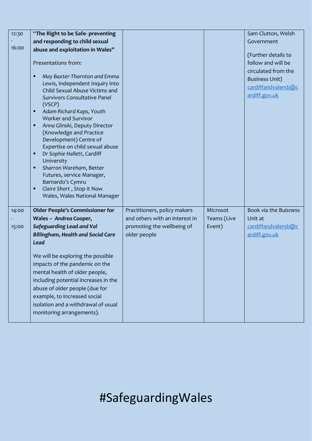| 12:30<br>16:00 | "The Right to be Safe-preventing<br>and responding to child sexual<br>abuse and exploitation in Wales"<br>Presentations from:<br>May Baxter-Thornton and Emma<br>п<br>Lewis, Independent Inquiry into<br>Child Sexual Abuse Victims and<br><b>Survivors Consultative Panel</b><br>(VSCP)<br>Adam Richard Kaps, Youth<br>п<br><b>Worker and Survivor</b><br>Anna Glinski, Deputy Director<br>Ξ<br>(Knowledge and Practice<br>Development) Centre of<br>Expertise on child sexual abuse<br>Dr Sophie Hallett, Cardiff<br>п<br>University<br>Sharron Wareham, Better<br>п<br>Futures, service Manager,<br>Barnardo's Cymru<br>Claire Short, Stop it Now<br>п<br>Wales, Wales National Manager |                                |             | Sam Clutton, Welsh<br>Government<br>(Further details to<br>follow and will be<br>circulated from the<br><b>Business Unit)</b><br>cardiffandvalersb@c<br>ardiff.gov.uk |
|----------------|--------------------------------------------------------------------------------------------------------------------------------------------------------------------------------------------------------------------------------------------------------------------------------------------------------------------------------------------------------------------------------------------------------------------------------------------------------------------------------------------------------------------------------------------------------------------------------------------------------------------------------------------------------------------------------------------|--------------------------------|-------------|-----------------------------------------------------------------------------------------------------------------------------------------------------------------------|
| 14:00          | <b>Older People's Commissioner for</b>                                                                                                                                                                                                                                                                                                                                                                                                                                                                                                                                                                                                                                                     | Practitioners, policy makers   | Microsot    | Book via the Buisness                                                                                                                                                 |
|                | Wales - Andrea Cooper,                                                                                                                                                                                                                                                                                                                                                                                                                                                                                                                                                                                                                                                                     | and others with an interest in | Teams (Live | Unit at                                                                                                                                                               |
| 15:00          | <b>Safeguarding Lead and Val</b>                                                                                                                                                                                                                                                                                                                                                                                                                                                                                                                                                                                                                                                           | promoting the wellbeing of     | Event)      | cardiffandvalersb@c                                                                                                                                                   |
|                | <b>Billingham, Health and Social Care</b><br><b>Lead</b>                                                                                                                                                                                                                                                                                                                                                                                                                                                                                                                                                                                                                                   | older people                   |             | ardiff.gov.uk                                                                                                                                                         |
|                | We will be exploring the possible<br>impacts of the pandemic on the<br>mental health of older people,<br>including potential increases in the<br>abuse of older people (due for<br>example, to increased social<br>isolation and a withdrawal of usual<br>monitoring arrangements).                                                                                                                                                                                                                                                                                                                                                                                                        |                                |             |                                                                                                                                                                       |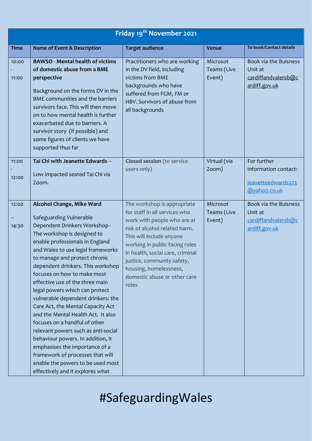|                | Friday 19 <sup>th</sup> November 2021                                                                                                                                                                                                                                                                                                                                                                                                                                                                                                                                                                                                                                                                                                                      |                                                                                                                                                                                                                                                                                                                                 |                                   |                                                                           |  |
|----------------|------------------------------------------------------------------------------------------------------------------------------------------------------------------------------------------------------------------------------------------------------------------------------------------------------------------------------------------------------------------------------------------------------------------------------------------------------------------------------------------------------------------------------------------------------------------------------------------------------------------------------------------------------------------------------------------------------------------------------------------------------------|---------------------------------------------------------------------------------------------------------------------------------------------------------------------------------------------------------------------------------------------------------------------------------------------------------------------------------|-----------------------------------|---------------------------------------------------------------------------|--|
| <b>Time</b>    | Name of Event & Description                                                                                                                                                                                                                                                                                                                                                                                                                                                                                                                                                                                                                                                                                                                                | <b>Target audience</b>                                                                                                                                                                                                                                                                                                          | <b>Venue</b>                      | To book/Contact details                                                   |  |
| 10:00<br>11:00 | <b>BAWSO - Mental health of victims</b><br>of domestic abuse from a BME<br>perspective<br>Background on the forms DV in the<br>BME communities and the barriers<br>survivors face. This will then move<br>on to how mental health is further<br>exacerbated due to barriers. A<br>survivor story (if possible) and<br>some figures of clients we have<br>supported thus far                                                                                                                                                                                                                                                                                                                                                                                | Practitioners who are working<br>in the DV field, including<br>victims from BME<br>backgrounds who have<br>suffered from FGM, FM or<br>HBV. Survivors of abuse from<br>all backgrounds                                                                                                                                          | Microsot<br>Teams (Live<br>Event) | Book via the Buisness<br>Unit at<br>cardiffandvalersb@c<br>ardiff.gov.uk  |  |
| 11:00<br>12:00 | Tai Chi with Jeanette Edwards -<br>Low impacted seated Tai Chi via<br>Zoom.                                                                                                                                                                                                                                                                                                                                                                                                                                                                                                                                                                                                                                                                                | <b>Closed session</b> (to service<br>users only)                                                                                                                                                                                                                                                                                | Virtual (via<br>Zoom)             | For further<br>information contact:<br>jeanetteedwards373<br>@yahoo.co.uk |  |
| 12:00<br>14:30 | <b>Alcohol Change, Mike Ward</b><br>Safeguarding Vulnerable<br>Dependent Drinkers Workshop -<br>The workshop is designed to<br>enable professionals in England<br>and Wales to use legal frameworks<br>to manage and protect chronic<br>dependent drinkers. This workshop<br>focuses on how to make most<br>effective use of the three main<br>legal powers which can protect<br>vulnerable dependent drinkers: the<br>Care Act, the Mental Capacity Act<br>and the Mental Health Act. It also<br>focuses on a handful of other<br>relevant powers such as anti-social<br>behaviour powers. In addition, it<br>emphasises the importance of a<br>framework of processes that will<br>enable the powers to be used most<br>effectively and it explores what | The workshop is appropriate<br>for staff in all services who<br>work with people who are at<br>risk of alcohol related harm.<br>This will include anyone<br>working in public facing roles<br>in health, social care, criminal<br>justice, community safety,<br>housing, homelessness,<br>domestic abuse or other care<br>roles | Microsot<br>Teams (Live<br>Event) | Book via the Buisness<br>Unit at<br>cardiffandvalersb@c<br>ardiff.gov.uk  |  |